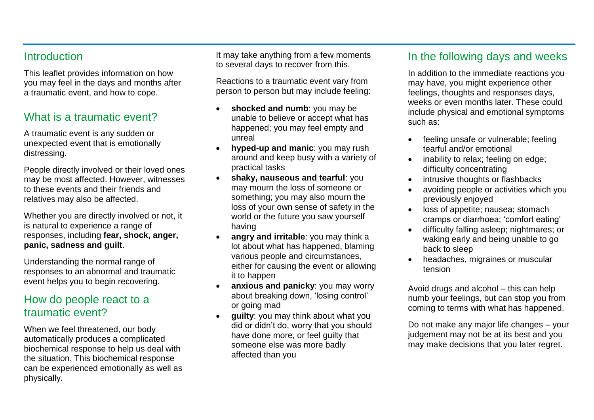#### **Introduction**

This leaflet provides information on how you may feel in the days and months after a traumatic event, and how to cope.

## What is a traumatic event?

A traumatic event is any sudden or unexpected event that is emotionally distressing.

People directly involved or their loved ones may be most affected. However, witnesses to these events and their friends and relatives may also be affected.

Whether you are directly involved or not, it is natural to experience a range of responses, including **fear, shock, anger, panic, sadness and guilt**.

Understanding the normal range of responses to an abnormal and traumatic event helps you to begin recovering.

#### How do people react to a traumatic event?

When we feel threatened, our body automatically produces a complicated biochemical response to help us deal with the situation. This biochemical response can be experienced emotionally as well as physically.

It may take anything from a few moments to several days to recover from this.

Reactions to a traumatic event vary from person to person but may include feeling:

- **shocked and numb:** you may be unable to believe or accept what has happened; you may feel empty and unreal
- **hyped-up and manic**: you may rush around and keep busy with a variety of practical tasks
- **shaky, nauseous and tearful**: you may mourn the loss of someone or something; you may also mourn the loss of your own sense of safety in the world or the future you saw yourself having
- **angry and irritable**: you may think a lot about what has happened, blaming various people and circumstances, either for causing the event or allowing it to happen
- **anxious and panicky**: you may worry about breaking down, 'losing control' or going mad
- **guilty**: you may think about what you did or didn't do, worry that you should have done more, or feel guilty that someone else was more badly affected than you

## In the following days and weeks

In addition to the immediate reactions you may have, you might experience other feelings, thoughts and responses days, weeks or even months later. These could include physical and emotional symptoms such as:

- feeling unsafe or vulnerable: feeling tearful and/or emotional
- inability to relax; feeling on edge; difficulty concentrating
- intrusive thoughts or flashbacks
- avoiding people or activities which you previously enjoyed
- loss of appetite: nausea: stomach cramps or diarrhoea; 'comfort eating'
- difficulty falling asleep; nightmares; or waking early and being unable to go back to sleep
- headaches, migraines or muscular tension

Avoid drugs and alcohol – this can help numb your feelings, but can stop you from coming to terms with what has happened.

Do not make any major life changes – your judgement may not be at its best and you may make decisions that you later regret.